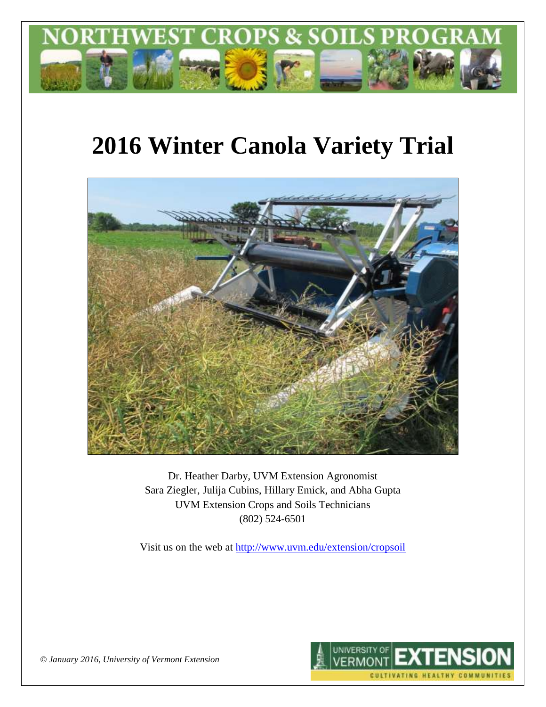

# **2016 Winter Canola Variety Trial**



Dr. Heather Darby, UVM Extension Agronomist Sara Ziegler, Julija Cubins, Hillary Emick, and Abha Gupta UVM Extension Crops and Soils Technicians (802) 524-6501

Visit us on the web at <http://www.uvm.edu/extension/cropsoil>



*© January 2016, University of Vermont Extension*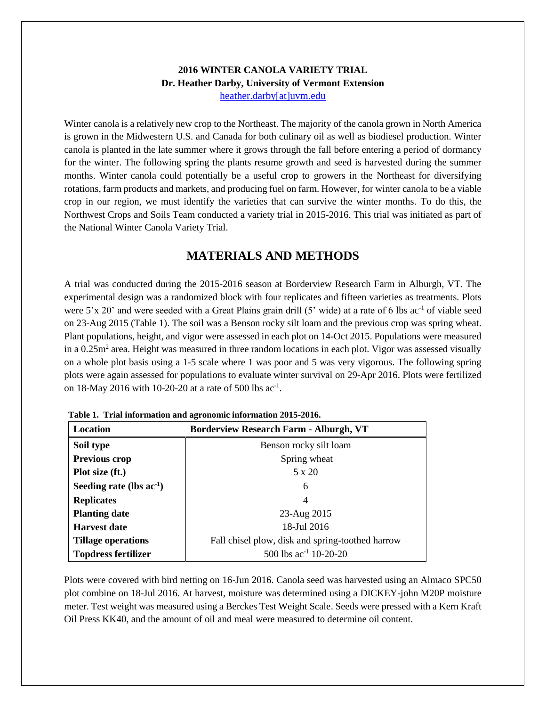#### **2016 WINTER CANOLA VARIETY TRIAL Dr. Heather Darby, University of Vermont Extension** [heather.darby\[at\]uvm.edu](mailto:heather.darby@uvm.edu?subject=2013%20Sunflower%20Reduced%20Tillage%20Trial)

Winter canola is a relatively new crop to the Northeast. The majority of the canola grown in North America is grown in the Midwestern U.S. and Canada for both culinary oil as well as biodiesel production. Winter canola is planted in the late summer where it grows through the fall before entering a period of dormancy for the winter. The following spring the plants resume growth and seed is harvested during the summer months. Winter canola could potentially be a useful crop to growers in the Northeast for diversifying rotations, farm products and markets, and producing fuel on farm. However, for winter canola to be a viable crop in our region, we must identify the varieties that can survive the winter months. To do this, the Northwest Crops and Soils Team conducted a variety trial in 2015-2016. This trial was initiated as part of the National Winter Canola Variety Trial.

## **MATERIALS AND METHODS**

A trial was conducted during the 2015-2016 season at Borderview Research Farm in Alburgh, VT. The experimental design was a randomized block with four replicates and fifteen varieties as treatments. Plots were 5'x 20' and were seeded with a Great Plains grain drill (5' wide) at a rate of 6 lbs ac<sup>-1</sup> of viable seed on 23-Aug 2015 (Table 1). The soil was a Benson rocky silt loam and the previous crop was spring wheat. Plant populations, height, and vigor were assessed in each plot on 14-Oct 2015. Populations were measured in a 0.25m<sup>2</sup> area. Height was measured in three random locations in each plot. Vigor was assessed visually on a whole plot basis using a 1-5 scale where 1 was poor and 5 was very vigorous. The following spring plots were again assessed for populations to evaluate winter survival on 29-Apr 2016. Plots were fertilized on 18-May 2016 with 10-20-20 at a rate of 500 lbs ac<sup>-1</sup>.

| Location                      | <b>Borderview Research Farm - Alburgh, VT</b>    |  |  |  |  |
|-------------------------------|--------------------------------------------------|--|--|--|--|
| Soil type                     | Benson rocky silt loam                           |  |  |  |  |
| <b>Previous crop</b>          | Spring wheat                                     |  |  |  |  |
| Plot size (ft.)               | 5 x 20                                           |  |  |  |  |
| Seeding rate (lbs $ac^{-1}$ ) | 6                                                |  |  |  |  |
| <b>Replicates</b>             | 4                                                |  |  |  |  |
| <b>Planting date</b>          | 23-Aug 2015                                      |  |  |  |  |
| <b>Harvest date</b>           | 18-Jul 2016                                      |  |  |  |  |
| <b>Tillage operations</b>     | Fall chisel plow, disk and spring-toothed harrow |  |  |  |  |
| <b>Topdress fertilizer</b>    | 500 lbs $ac^{-1}$ 10-20-20                       |  |  |  |  |

**Table 1. Trial information and agronomic information 2015-2016.**

Plots were covered with bird netting on 16-Jun 2016. Canola seed was harvested using an Almaco SPC50 plot combine on 18-Jul 2016. At harvest, moisture was determined using a DICKEY-john M20P moisture meter. Test weight was measured using a Berckes Test Weight Scale. Seeds were pressed with a Kern Kraft Oil Press KK40, and the amount of oil and meal were measured to determine oil content.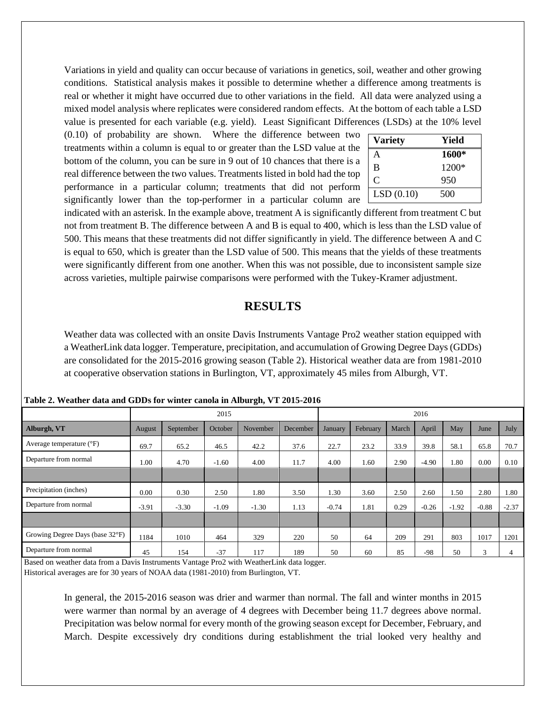Variations in yield and quality can occur because of variations in genetics, soil, weather and other growing conditions. Statistical analysis makes it possible to determine whether a difference among treatments is real or whether it might have occurred due to other variations in the field. All data were analyzed using a mixed model analysis where replicates were considered random effects. At the bottom of each table a LSD value is presented for each variable (e.g. yield). Least Significant Differences (LSDs) at the 10% level

(0.10) of probability are shown. Where the difference between two treatments within a column is equal to or greater than the LSD value at the bottom of the column, you can be sure in 9 out of 10 chances that there is a real difference between the two values. Treatments listed in bold had the top performance in a particular column; treatments that did not perform significantly lower than the top-performer in a particular column are

| <b>Variety</b> | Yield |
|----------------|-------|
| A              | 1600* |
| B              | 1200* |
| C              | 950   |
| LSD(0.10)      | 500   |

indicated with an asterisk. In the example above, treatment A is significantly different from treatment C but not from treatment B. The difference between A and B is equal to 400, which is less than the LSD value of 500. This means that these treatments did not differ significantly in yield. The difference between A and C is equal to 650, which is greater than the LSD value of 500. This means that the yields of these treatments were significantly different from one another. When this was not possible, due to inconsistent sample size across varieties, multiple pairwise comparisons were performed with the Tukey-Kramer adjustment.

### **RESULTS**

Weather data was collected with an onsite Davis Instruments Vantage Pro2 weather station equipped with a WeatherLink data logger. Temperature, precipitation, and accumulation of Growing Degree Days (GDDs) are consolidated for the 2015-2016 growing season (Table 2). Historical weather data are from 1981-2010 at cooperative observation stations in Burlington, VT, approximately 45 miles from Alburgh, VT.

| $\bullet$                         |         |           |         |          |          |         |          |       |         |         |         |         |
|-----------------------------------|---------|-----------|---------|----------|----------|---------|----------|-------|---------|---------|---------|---------|
|                                   |         | 2015      |         |          | 2016     |         |          |       |         |         |         |         |
| Alburgh, VT                       | August  | September | October | November | December | January | February | March | April   | May     | June    | July    |
| Average temperature $(^{\circ}F)$ | 69.7    | 65.2      | 46.5    | 42.2     | 37.6     | 22.7    | 23.2     | 33.9  | 39.8    | 58.1    | 65.8    | 70.7    |
| Departure from normal             | 1.00    | 4.70      | $-1.60$ | 4.00     | 11.7     | 4.00    | 1.60     | 2.90  | $-4.90$ | 1.80    | 0.00    | 0.10    |
|                                   |         |           |         |          |          |         |          |       |         |         |         |         |
| Precipitation (inches)            | 0.00    | 0.30      | 2.50    | 1.80     | 3.50     | 1.30    | 3.60     | 2.50  | 2.60    | 1.50    | 2.80    | 1.80    |
| Departure from normal             | $-3.91$ | $-3.30$   | $-1.09$ | $-1.30$  | 1.13     | $-0.74$ | 1.81     | 0.29  | $-0.26$ | $-1.92$ | $-0.88$ | $-2.37$ |
|                                   |         |           |         |          |          |         |          |       |         |         |         |         |
| Growing Degree Days (base 32°F)   | 1184    | 1010      | 464     | 329      | 220      | 50      | 64       | 209   | 291     | 803     | 1017    | 1201    |
| Departure from normal             | 45      | 154       | $-37$   | 117      | 189      | 50      | 60       | 85    | $-98$   | 50      | 3       | 4       |

**Table 2. Weather data and GDDs for winter canola in Alburgh, VT 2015-2016**

Based on weather data from a Davis Instruments Vantage Pro2 with WeatherLink data logger.

Historical averages are for 30 years of NOAA data (1981-2010) from Burlington, VT.

In general, the 2015-2016 season was drier and warmer than normal. The fall and winter months in 2015 were warmer than normal by an average of 4 degrees with December being 11.7 degrees above normal. Precipitation was below normal for every month of the growing season except for December, February, and March. Despite excessively dry conditions during establishment the trial looked very healthy and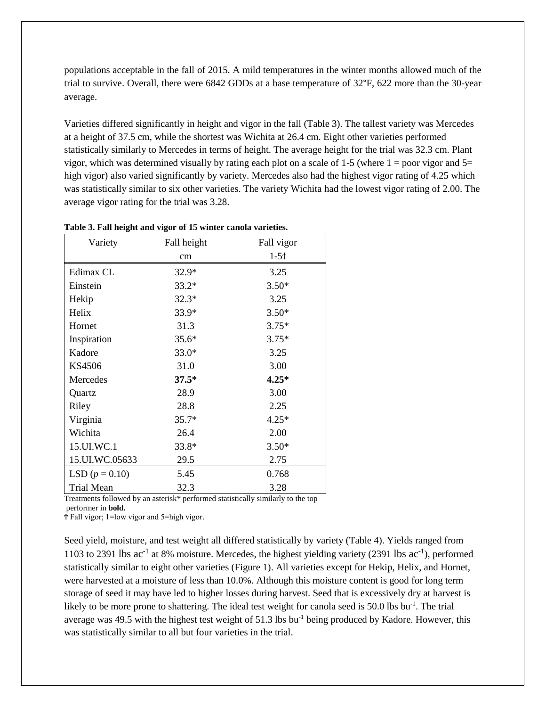populations acceptable in the fall of 2015. A mild temperatures in the winter months allowed much of the trial to survive. Overall, there were 6842 GDDs at a base temperature of 32°F, 622 more than the 30-year average.

Varieties differed significantly in height and vigor in the fall (Table 3). The tallest variety was Mercedes at a height of 37.5 cm, while the shortest was Wichita at 26.4 cm. Eight other varieties performed statistically similarly to Mercedes in terms of height. The average height for the trial was 32.3 cm. Plant vigor, which was determined visually by rating each plot on a scale of 1-5 (where  $1 =$  poor vigor and  $5=$ high vigor) also varied significantly by variety. Mercedes also had the highest vigor rating of 4.25 which was statistically similar to six other varieties. The variety Wichita had the lowest vigor rating of 2.00. The average vigor rating for the trial was 3.28.

| Variety          | Fall height | Fall vigor |
|------------------|-------------|------------|
|                  | cm          | $1-5f$     |
| Edimax CL        | $32.9*$     | 3.25       |
| Einstein         | $33.2*$     | $3.50*$    |
| Hekip            | $32.3*$     | 3.25       |
| Helix            | $33.9*$     | $3.50*$    |
| Hornet           | 31.3        | $3.75*$    |
| Inspiration      | $35.6*$     | $3.75*$    |
| Kadore           | $33.0*$     | 3.25       |
| KS4506           | 31.0        | 3.00       |
| Mercedes         | $37.5*$     | $4.25*$    |
| Quartz           | 28.9        | 3.00       |
| Riley            | 28.8        | 2.25       |
| Virginia         | $35.7*$     | $4.25*$    |
| Wichita          | 26.4        | 2.00       |
| 15.UI.WC.1       | 33.8*       | $3.50*$    |
| 15.UI.WC.05633   | 29.5        | 2.75       |
| LSD $(p = 0.10)$ | 5.45        | 0.768      |
| Trial Mean       | 32.3        | 3.28       |

**Table 3. Fall height and vigor of 15 winter canola varieties.**

Treatments followed by an asterisk\* performed statistically similarly to the top

performer in **bold.**

Ϯ Fall vigor; 1=low vigor and 5=high vigor.

Seed yield, moisture, and test weight all differed statistically by variety (Table 4). Yields ranged from 1103 to 2391 lbs  $ac^{-1}$  at 8% moisture. Mercedes, the highest yielding variety (2391 lbs  $ac^{-1}$ ), performed statistically similar to eight other varieties (Figure 1). All varieties except for Hekip, Helix, and Hornet, were harvested at a moisture of less than 10.0%. Although this moisture content is good for long term storage of seed it may have led to higher losses during harvest. Seed that is excessively dry at harvest is likely to be more prone to shattering. The ideal test weight for canola seed is 50.0 lbs bu<sup>-1</sup>. The trial average was 49.5 with the highest test weight of  $51.3$  lbs bu<sup>-1</sup> being produced by Kadore. However, this was statistically similar to all but four varieties in the trial.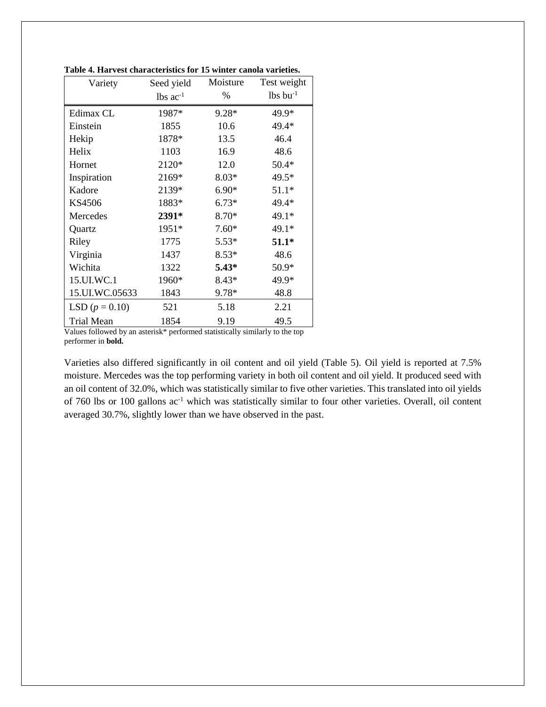| Variety          | Moisture<br>Seed yield |         | Test weight            |  |
|------------------|------------------------|---------|------------------------|--|
|                  | $lbs$ ac <sup>-1</sup> | $\%$    | $lbs$ bu <sup>-1</sup> |  |
| Edimax CL        | 1987*                  | $9.28*$ | 49.9*                  |  |
| Einstein         | 1855                   | 10.6    | 49.4*                  |  |
| Hekip            | 1878*                  | 13.5    | 46.4                   |  |
| Helix            | 1103                   | 16.9    | 48.6                   |  |
| Hornet           | 2120*                  | 12.0    | $50.4*$                |  |
| Inspiration      | 2169*                  | $8.03*$ | $49.5*$                |  |
| Kadore           | 2139*                  | $6.90*$ | $51.1*$                |  |
| <b>KS4506</b>    | 1883*                  | $6.73*$ | 49.4*                  |  |
| Mercedes         | 2391*                  | 8.70*   | 49.1*                  |  |
| Quartz           | 1951*                  | $7.60*$ | 49.1*                  |  |
| Riley            | 1775                   | $5.53*$ | $51.1*$                |  |
| Virginia         | 1437                   | $8.53*$ | 48.6                   |  |
| Wichita          | 1322                   | $5.43*$ | 50.9*                  |  |
| 15.UI.WC.1       | 1960*                  | $8.43*$ | 49.9*                  |  |
| 15.UI.WC.05633   | 1843                   | 9.78*   | 48.8                   |  |
| LSD $(p = 0.10)$ | 521                    | 5.18    | 2.21                   |  |
| Trial Mean       | 1854                   | 9.19    | 49.5                   |  |

**Table 4. Harvest characteristics for 15 winter canola varieties.**

Values followed by an asterisk\* performed statistically similarly to the top performer in **bold.**

Varieties also differed significantly in oil content and oil yield (Table 5). Oil yield is reported at 7.5% moisture. Mercedes was the top performing variety in both oil content and oil yield. It produced seed with an oil content of 32.0%, which was statistically similar to five other varieties. This translated into oil yields of 760 lbs or 100 gallons ac-1 which was statistically similar to four other varieties. Overall, oil content averaged 30.7%, slightly lower than we have observed in the past.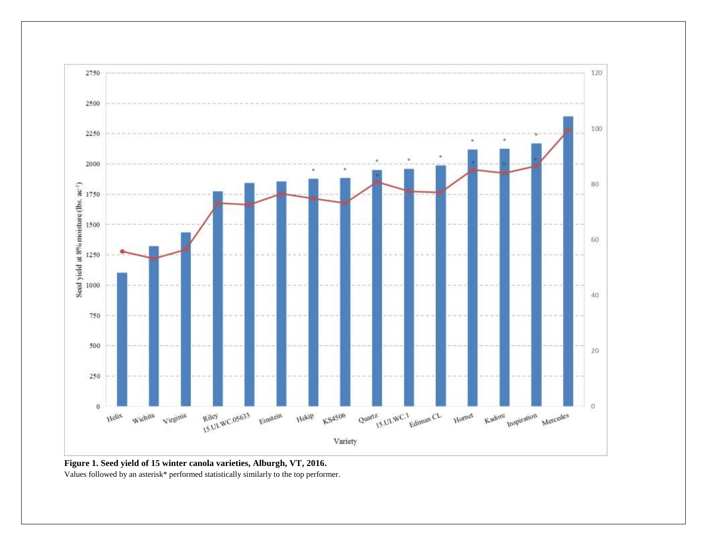

**Figure 1. Seed yield of 15 winter canola varieties, Alburgh, VT, 2016.** Values followed by an asterisk\* performed statistically similarly to the top performer.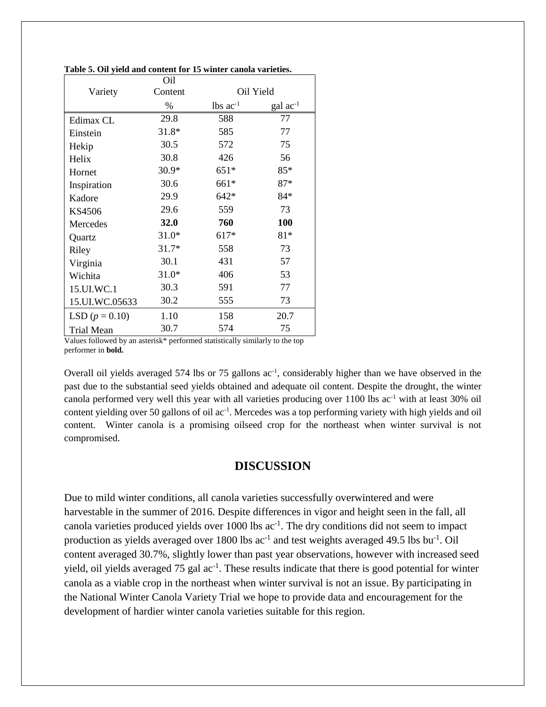|                   | Oil     |                        |                   |
|-------------------|---------|------------------------|-------------------|
| Variety           | Content | Oil Yield              |                   |
|                   | %       | $lbs$ ac <sup>-1</sup> | $\rm gal~ac^{-1}$ |
| Edimax CL         | 29.8    | 588                    | 77                |
| Einstein          | 31.8*   | 585                    | 77                |
| Hekip             | 30.5    | 572                    | 75                |
| Helix             | 30.8    | 426                    | 56                |
| Hornet            | $30.9*$ | $651*$                 | 85*               |
| Inspiration       | 30.6    | 661*                   | $87*$             |
| Kadore            | 29.9    | $642*$                 | 84*               |
| KS4506            | 29.6    | 559                    | 73                |
| Mercedes          | 32.0    | 760                    | 100               |
| Quartz            | $31.0*$ | $617*$                 | $81*$             |
| Riley             | $31.7*$ | 558                    | 73                |
| Virginia          | 30.1    | 431                    | 57                |
| Wichita           | $31.0*$ | 406                    | 53                |
| 15.UI.WC.1        | 30.3    | 591                    | 77                |
| 15.UI.WC.05633    | 30.2    | 555                    | 73                |
| LSD $(p = 0.10)$  | 1.10    | 158                    | 20.7              |
| <b>Trial Mean</b> | 30.7    | 574                    | 75                |

**Table 5. Oil yield and content for 15 winter canola varieties.**

Values followed by an asterisk\* performed statistically similarly to the top performer in **bold.**

Overall oil yields averaged 574 lbs or 75 gallons ac<sup>-1</sup>, considerably higher than we have observed in the past due to the substantial seed yields obtained and adequate oil content. Despite the drought, the winter canola performed very well this year with all varieties producing over 1100 lbs ac<sup>-1</sup> with at least 30% oil content yielding over 50 gallons of oil ac<sup>-1</sup>. Mercedes was a top performing variety with high yields and oil content. Winter canola is a promising oilseed crop for the northeast when winter survival is not compromised.

#### **DISCUSSION**

Due to mild winter conditions, all canola varieties successfully overwintered and were harvestable in the summer of 2016. Despite differences in vigor and height seen in the fall, all canola varieties produced yields over  $1000$  lbs  $ac^{-1}$ . The dry conditions did not seem to impact production as yields averaged over 1800 lbs  $ac^{-1}$  and test weights averaged 49.5 lbs bu<sup>-1</sup>. Oil content averaged 30.7%, slightly lower than past year observations, however with increased seed yield, oil yields averaged 75 gal ac<sup>-1</sup>. These results indicate that there is good potential for winter canola as a viable crop in the northeast when winter survival is not an issue. By participating in the National Winter Canola Variety Trial we hope to provide data and encouragement for the development of hardier winter canola varieties suitable for this region.